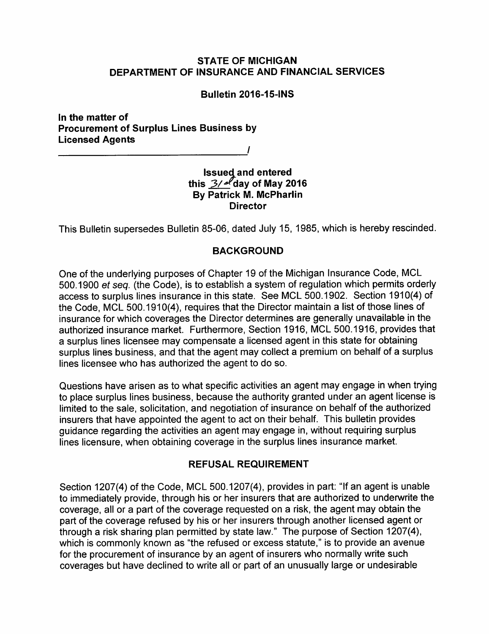### *STATE OF MICHIGAN DEPARTMENT OF INSURANCE AND FINANCIAL SERVICES*

#### *Bulletin 2016-15-1NS*

*In the matter of Procurement of Surplus Lines Business by Licensed Agents* 

*/* 

### *Issued and entered this 3/^fday of May 2016 By Patrick M. McPharlin Director*

This Bulletin supersedes Bulletin 85-06, dated July 15, 1985, which is hereby rescinded.

## BACKGROUND

One of the underlying purposes of Chapter 19 of the Michigan Insurance Code, MCL 500.1900 **et seq.** (the Code), is to establish a system of regulation which permits orderly access to surplus lines insurance in this state. See MCL 500.1902. Section 1910(4) of the Code, MCL 500.1910(4), requires that the Director maintain a list of those lines of insurance for which coverages the Director determines are generally unavailable in the authorized insurance market. Furthermore, Section 1916, MCL 500.1916, provides that a surplus lines licensee may compensate a licensed agent in this state for obtaining surplus lines business, and that the agent may collect a premium on behalf of a surplus lines licensee who has authorized the agent to do so.

Questions have arisen as to what specific activities an agent may engage in when trying to place surplus lines business, because the authority granted under an agent license is limited to the sale, solicitation, and negotiation of insurance on behalf of the authorized insurers that have appointed the agent to act on their behalf. This bulletin provides guidance regarding the activities an agent may engage in, without requiring surplus lines licensure, when obtaining coverage in the surplus lines insurance market.

# *REFUSAL REQUIREMENT*

Section 1207(4) of the Code, MCL 500.1207(4), provides in part: "If an agent is unable to immediately provide, through his or her insurers that are authorized to underwrite the coverage, all or a part of the coverage requested on a risk, the agent may obtain the part of the coverage refused by his or her insurers through another licensed agent or through a risk sharing plan permitted by state law." The purpose of Section 1207(4), which is commonly known as "the refused or excess statute," is to provide an avenue for the procurement of insurance by an agent of insurers who normally write such coverages but have declined to write all or part of an unusually large or undesirable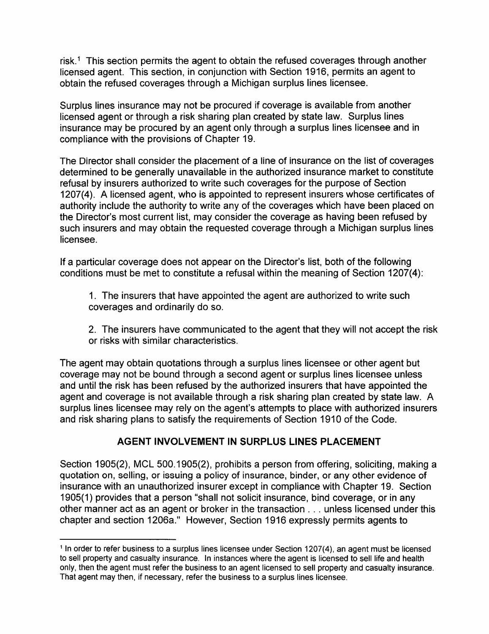risk.1 This section permits the agent to obtain the refused coverages through another licensed agent. This section, in conjunction with Section 1916, permits an agent to obtain the refused coverages through a Michigan surplus lines licensee.

Surplus lines insurance may not be procured if coverage is available from another licensed agent or through a risk sharing plan created by state law. Surplus lines insurance may be procured by an agent only through a surplus lines licensee and in compliance with the provisions of Chapter 19.

The Director shall consider the placement of a line of insurance on the list of coverages determined to be generally unavailable in the authorized insurance market to constitute refusal by insurers authorized to write such coverages for the purpose of Section 1207(4). A licensed agent, who is appointed to represent insurers whose certificates of authority include the authority to write any of the coverages which have been placed on the Director's most current list, may consider the coverage as having been refused by such insurers and may obtain the requested coverage through a Michigan surplus lines licensee.

If a particular coverage does not appear on the Director's list, both of the following conditions must be met to constitute a refusal within the meaning of Section 1207(4):

1. The insurers that have appointed the agent are authorized to write such coverages and ordinarily do so.

2. The insurers have communicated to the agent that they will not accept the risk or risks with similar characteristics.

The agent may obtain quotations through a surplus lines licensee or other agent but coverage may not be bound through a second agent or surplus lines licensee unless and until the risk has been refused by the authorized insurers that have appointed the agent and coverage is not available through a risk sharing plan created by state law. A surplus lines licensee may rely on the agent's attempts to place with authorized insurers and risk sharing plans to satisfy the requirements of Section 1910 of the Code.

# *AGENT INVOLVEMENT IN SURPLUS LINES PLACEMENT*

Section 1905(2), MCL 500.1905(2), prohibits a person from offering, soliciting, making a quotation on, selling, or issuing a policy of insurance, binder, or any other evidence of insurance with an unauthorized insurer except in compliance with Chapter 19. Section 1905(1) provides that a person "shall not solicit insurance, bind coverage, or in any other manner act as an agent or broker in the transaction . .. unless licensed under this chapter and section 1206a." However, Section 1916 expressly permits agents to

*<sup>11</sup>n order to refer business to a surplus lines licensee under Section 1207(4), an agent must be licensed to sell property and casualty insurance. In instances where the agent is licensed to sell life and health only, then the agent must refer the business to an agent licensed to sell property and casualty insurance. That agent may then, if necessary, refer the business to a surplus lines licensee.*